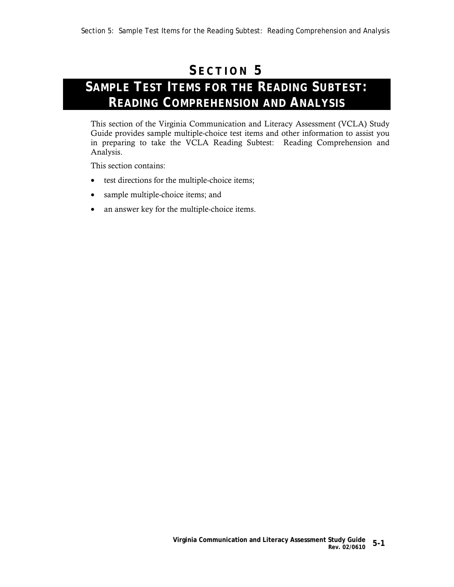## **S ECTION 5**

## **SAMPLE TEST ITEMS FOR THE READING SUBTEST: READING COMPREHENSION AND ANALYSIS**

This section of the Virginia Communication and Literacy Assessment (VCLA) Study Guide provides sample multiple-choice test items and other information to assist you in preparing to take the VCLA Reading Subtest: Reading Comprehension and Analysis.

This section contains:

- test directions for the multiple-choice items;
- sample multiple-choice items; and
- an answer key for the multiple-choice items.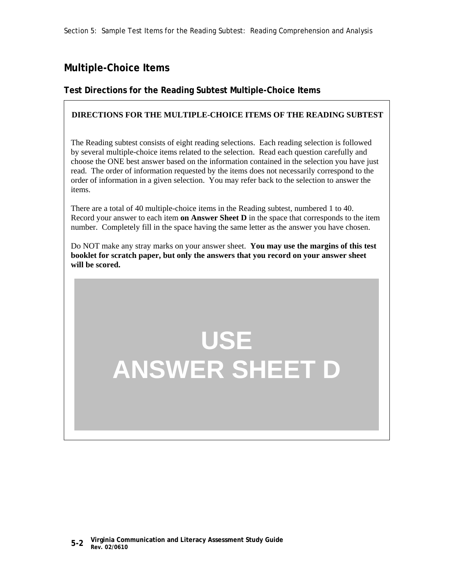### **Multiple-Choice Items**

#### **Test Directions for the Reading Subtest Multiple-Choice Items**

#### **DIRECTIONS FOR THE MULTIPLE-CHOICE ITEMS OF THE READING SUBTEST**

The Reading subtest consists of eight reading selections. Each reading selection is followed by several multiple-choice items related to the selection. Read each question carefully and choose the ONE best answer based on the information contained in the selection you have just read. The order of information requested by the items does not necessarily correspond to the order of information in a given selection. You may refer back to the selection to answer the items.

There are a total of 40 multiple-choice items in the Reading subtest, numbered 1 to 40. Record your answer to each item **on Answer Sheet D** in the space that corresponds to the item number. Completely fill in the space having the same letter as the answer you have chosen.

Do NOT make any stray marks on your answer sheet. **You may use the margins of this test booklet for scratch paper, but only the answers that you record on your answer sheet will be scored.**

# **USE ANSWER SHEET D**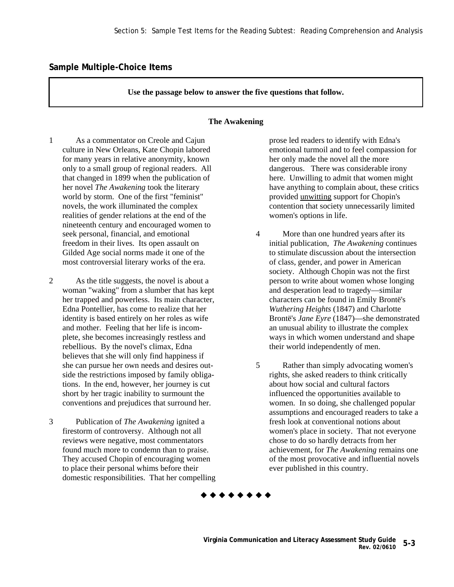**Use the passage below to answer the five questions that follow.** 

#### **The Awakening**

1 As a commentator on Creole and Cajun culture in New Orleans, Kate Chopin labored for many years in relative anonymity, known only to a small group of regional readers. All that changed in 1899 when the publication of her novel *The Awakening* took the literary world by storm. One of the first "feminist" novels, the work illuminated the complex realities of gender relations at the end of the nineteenth century and encouraged women to seek personal, financial, and emotional freedom in their lives. Its open assault on Gilded Age social norms made it one of the most controversial literary works of the era.

2 As the title suggests, the novel is about a woman "waking" from a slumber that has kept her trapped and powerless. Its main character, Edna Pontellier, has come to realize that her identity is based entirely on her roles as wife and mother. Feeling that her life is incomplete, she becomes increasingly restless and rebellious. By the novel's climax, Edna believes that she will only find happiness if she can pursue her own needs and desires outside the restrictions imposed by family obligations. In the end, however, her journey is cut short by her tragic inability to surmount the conventions and prejudices that surround her.

3 Publication of *The Awakening* ignited a firestorm of controversy. Although not all reviews were negative, most commentators found much more to condemn than to praise. They accused Chopin of encouraging women to place their personal whims before their domestic responsibilities. That her compelling

prose led readers to identify with Edna's emotional turmoil and to feel compassion for her only made the novel all the more dangerous. There was considerable irony here. Unwilling to admit that women might have anything to complain about, these critics provided unwitting support for Chopin's contention that society unnecessarily limited women's options in life.

- 4 More than one hundred years after its initial publication, *The Awakening* continues to stimulate discussion about the intersection of class, gender, and power in American society. Although Chopin was not the first person to write about women whose longing and desperation lead to tragedy—similar characters can be found in Emily Brontë's *Wuthering Heights* (1847) and Charlotte Brontë's *Jane Eyre* (1847)—she demonstrated an unusual ability to illustrate the complex ways in which women understand and shape their world independently of men.
- 5 Rather than simply advocating women's rights, she asked readers to think critically about how social and cultural factors influenced the opportunities available to women. In so doing, she challenged popular assumptions and encouraged readers to take a fresh look at conventional notions about women's place in society. That not everyone chose to do so hardly detracts from her achievement, for *The Awakening* remains one of the most provocative and influential novels ever published in this country.

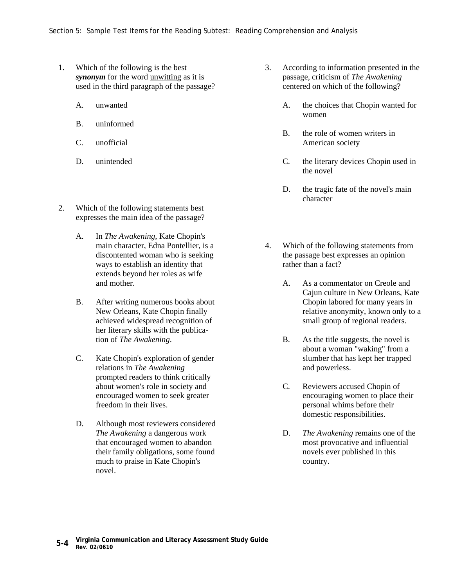- 1. Which of the following is the best *synonym* for the word unwitting as it is used in the third paragraph of the passage?
	- A. unwanted
	- B. uninformed
	- C. unofficial
	- D. unintended
- 2. Which of the following statements best expresses the main idea of the passage?
	- A. In *The Awakening*, Kate Chopin's main character, Edna Pontellier, is a discontented woman who is seeking ways to establish an identity that extends beyond her roles as wife and mother.
	- B. After writing numerous books about New Orleans, Kate Chopin finally achieved widespread recognition of her literary skills with the publication of *The Awakening*.
	- C. Kate Chopin's exploration of gender relations in *The Awakening* prompted readers to think critically about women's role in society and encouraged women to seek greater freedom in their lives.
	- D. Although most reviewers considered *The Awakening* a dangerous work that encouraged women to abandon their family obligations, some found much to praise in Kate Chopin's novel.
- 3. According to information presented in the passage, criticism of *The Awakening* centered on which of the following?
	- A. the choices that Chopin wanted for women
	- B. the role of women writers in American society
	- C. the literary devices Chopin used in the novel
	- D. the tragic fate of the novel's main character
- 4. Which of the following statements from the passage best expresses an opinion rather than a fact?
	- A. As a commentator on Creole and Cajun culture in New Orleans, Kate Chopin labored for many years in relative anonymity, known only to a small group of regional readers.
	- B. As the title suggests, the novel is about a woman "waking" from a slumber that has kept her trapped and powerless.
	- C. Reviewers accused Chopin of encouraging women to place their personal whims before their domestic responsibilities.
	- D. *The Awakening* remains one of the most provocative and influential novels ever published in this country.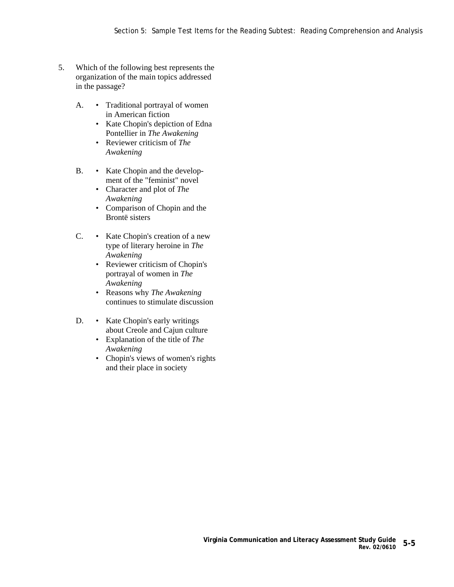- 5. Which of the following best represents the organization of the main topics addressed in the passage?
	- A. Traditional portrayal of women in American fiction
		- Kate Chopin's depiction of Edna Pontellier in *The Awakening*
		- Reviewer criticism of *The Awakening*
	- B. Kate Chopin and the development of the "feminist" novel
		- Character and plot of *The Awakening*
		- Comparison of Chopin and the Brontë sisters
	- C. Kate Chopin's creation of a new type of literary heroine in *The Awakening*
		- Reviewer criticism of Chopin's portrayal of women in *The Awakening*
		- Reasons why *The Awakening* continues to stimulate discussion
	- D. Kate Chopin's early writings about Creole and Cajun culture
		- Explanation of the title of *The Awakening*
		- Chopin's views of women's rights and their place in society